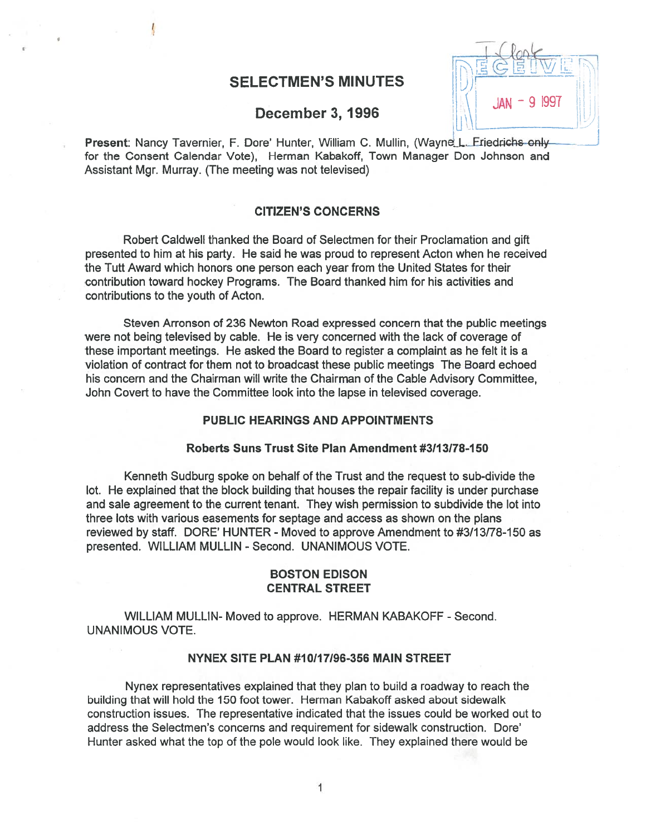## SELECTMEN'S MINUTES

## December 3, 1996

Present: Nancy Tavernier, F. Dore' Hunter, William C. Mullin, (Wayne L. Friedrichs only for the Consent Calendar Vote), Herman Kabakoff, Town Manager Don Johnson and Assistant Mgr. Murray. (The meeting was not televised)

- 9 1997

## CITIZEN'S CONCERNS

Robert Caldwell thanked the Board of Selectmen for their Proclamation and gift presented to him at his party. He said he was proud to represen<sup>t</sup> Acton when he received the Tutt Award which honors one person each year from the United States for their contribution toward hockey Programs. The Board thanked him for his activities and contributions to the youth of Acton.

Steven Arronson of 236 Newton Road expressed concern that the public meetings were not being televised by cable. He is very concerned with the lack of coverage of these important meetings. He asked the Board to register <sup>a</sup> complaint as he felt it is <sup>a</sup> violation of contract for them not to broadcast these public meetings The Board echoed his concern and the Chairman will write the Chairman of the Cable Advisory Committee, John Covert to have the Committee look into the lapse in televised coverage.

## PUBLIC HEARINGS AND APPOINTMENTS

## Roberts Suns Trust Site Plan Amendment #311 3178-I 50

Kenneth Sudburg spoke on behalf of the Trust and the reques<sup>t</sup> to sub-divide the lot. He explained that the block building that houses the repair facility is under purchase and sale agreemen<sup>t</sup> to the current tenant. They wish permission to subdivide the lot into three lots with various easements for septage and access as shown on the plans reviewed by staff. DORE' HUNTER - Moved to approve Amendment to #3/13/78-150 as presented. WILLIAM MULLIN - Second. UNANIMOUS VOTE.

## BOSTON EDISON CENTRAL STREET

WILLIAM MULLIN- Moved to approve. HERMAN KABAKOFF - Second. UNANIMOUS VOTE.

## NYNEX SITE PLAN #10/17/96-356 MAIN STREET

Nynex representatives explained that they plan to build <sup>a</sup> roadway to reach the building that will hold the 150 foot tower. Herman Kabakoff asked about sidewalk construction issues. The representative indicated that the issues could be worked out to address the Selectmen's concerns and requirement for sidewalk construction. Dore' Hunter asked what the top of the pole would look like. They explained there would be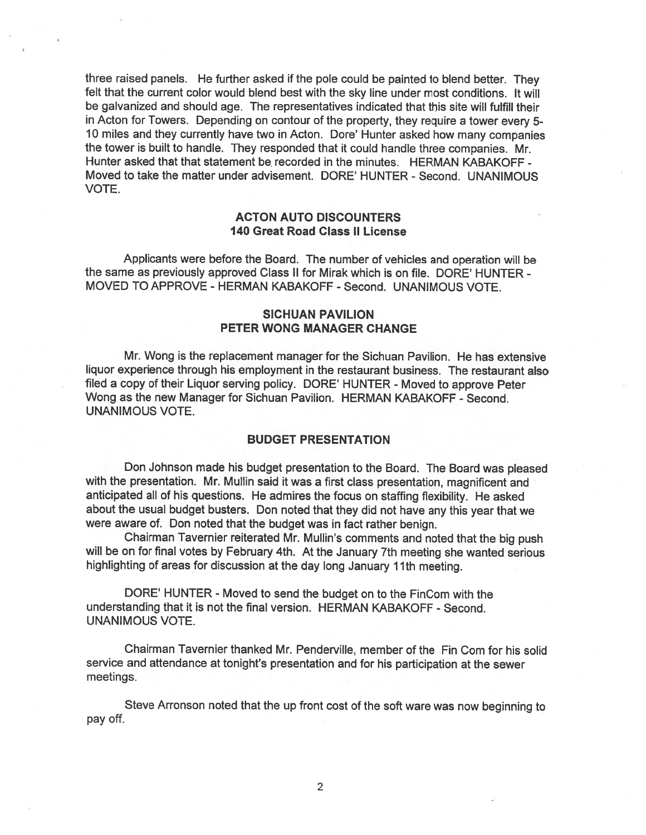three raised panels. He further asked if the pole could be painted to blend better. They felt that the current color would blend best with the sky line under most conditions. It will be galvanized and should age. The representatives indicated that this site will fulfill their in Acton for Towers. Depending on contour of the property, they require a tower every 5-<sup>10</sup> miles and they currently have two in Acton. Dote' Hunter asked how many companies the tower is built to handle. They responded that it could handle three companies. Mr. Hunter asked that that statement be recorded in the minutes. HERMAN KABAKOFF -Moved to take the matter under advisement. DORE' HUNTER - Second. UNANIMOUS VOTE.

## ACTON AUTO DISCOUNTERS 140 Great Road Class II License

Applicants were before the Board. The number of vehicles and operation will be the same as previously approved Class II for Mirak which is on file. DORE' HUNTER - MOVED TO APPROVE - HERMAN KABAKOFF - Second. UNANIMOUS VOTE.

## SICHUAN PAVILION PETER WONG MANAGER CHANGE

Mr. Wong is the replacement manager for the Sichuan Pavilion. He has extensive liquor experience through his employment in the restaurant business. The restaurant also filed <sup>a</sup> copy of their Liquor serving policy. DORE' HUNTER - Moved to approve Peter Wong as the new Manager for Sichuan Pavilion. HERMAN KABAKOFF - Second. UNANIMOUS VOTE.

### BUDGET PRESENTATION

Don Johnson made his budget presentation to the Board. The Board was <sup>p</sup>leased with the presentation. Mr. Mullin said it was <sup>a</sup> first class presentation, magnificent and anticipated all of his questions. He admires the focus on staffing flexibility. He asked about the usual budget busters. Don noted that they did not have any this year that we were aware of. Don noted that the budget was in fact rather benign.

Chairman Tavernier reiterated Mr. Mullin's comments and noted that the big pus<sup>h</sup> will be on for final votes by February 4th. At the January 7th meeting she wanted serious highlighting of areas for discussion at the day long January 11th meeting.

DORE' HUNTER - Moved to send the budget on to the FinCom with the understanding that it is not the final version. HERMAN KABAKOFF - Second. UNANIMOUS VOTE.

Chairman Tavernier thanked Mr. Penderville, member of the Fin Com for his solid service and attendance at tonight's presentation and for his participation at the sewer meetings.

Steve Arronson noted that the up front cost of the soft ware was now beginning to pay off.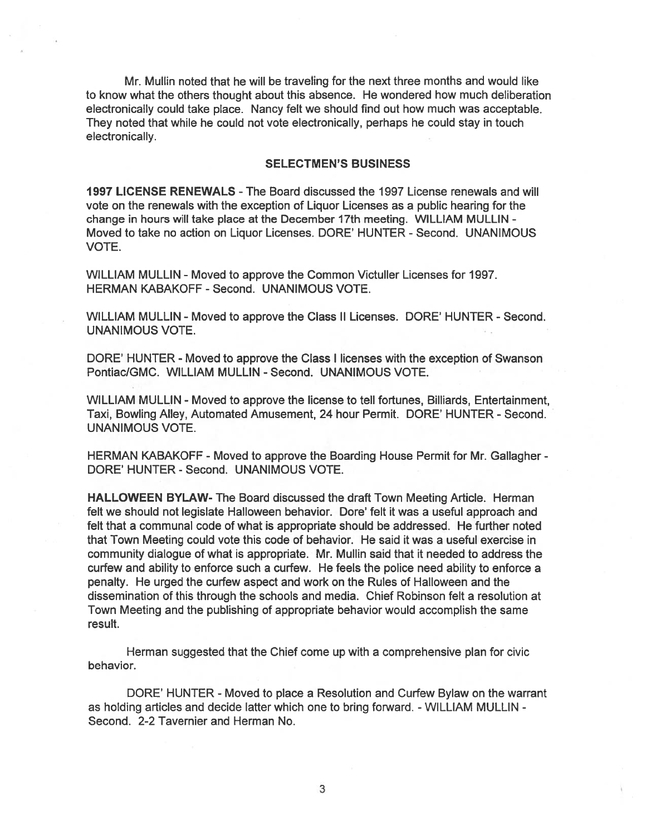Mr. Mullin noted that he will be traveling for the next three months and would like to know what the others thought about this absence. He wondered how much deliberation electronically could take place. Nancy felt we should find out how much was acceptable. They noted that while he could not vote electronically, perhaps he could stay in touch electronically.

## SELECTMEN'S BUSINESS

1997 LICENSE RENEWALS -The Board discussed the 1997 License renewals and will vote on the renewals with the exception of Liquor Licenses as <sup>a</sup> public hearing for the change in hours will take place at the December 17th meeting. WILLIAM MULLIN - Moved to take no action on Liquor Licenses. DORE' HUNTER - Second. UNANIMOUS VOTE.

WILLIAM MULLIN - Moved to approve the Common Victuller Licenses for 1997. HERMAN KABAKOFF - Second. UNANIMOUS VOTE.

WILLIAM MULLIN - Moved to approve the Class II Licenses. DORE' HUNTER - Second. UNANIMOUS VOTE.

DORE' HUNTER - Moved to approve the Class I licenses with the exception of Swanson Pontiac/GMC. WILLIAM MULLIN - Second. UNANIMOUS VOTE.

WILLIAM MULLIN - Moved to approve the license to tell fortunes, Billiards, Entertainment, Taxi, Bowling Alley, Automated Amusement, 24 hour Permit. DORE' HUNTER - Second. UNANIMOUS VOTE.

HERMAN KABAKOFF -Moved to approve the Boarding House Permit for Mr. Gallagher - DORE' HUNTER - Second. UNANIMOUS VOTE.

HALLOWEEN BYLAW- The Board discussed the draft Town Meeting Article. Herman felt we should not legislate Halloween behavior. Dore' felt it was <sup>a</sup> useful approach and felt that <sup>a</sup> communal code of what is appropriate should be addressed. He further noted that Town Meeting could vote this code of behavior. He said it was <sup>a</sup> useful exercise in community dialogue of what is appropriate. Mr. Mullin said that it needed to address the curfew and ability to enforce such <sup>a</sup> curfew. He feels the police need ability to enforce <sup>a</sup> penalty. He urged the curfew aspec<sup>t</sup> and work on the Rules of Halloween and the dissemination of this through the schools and media. Chief Robinson felt <sup>a</sup> resolution at Town Meeting and the publishing of appropriate behavior would accomplish the same result.

Herman suggested that the Chief come up with <sup>a</sup> comprehensive plan for civic behavior.

DORE' HUNTER - Moved to place <sup>a</sup> Resolution and Curfew Bylaw on the warrant as holding articles and decide latter which one to bring forward. - WILLIAM MULLIN -Second. 2-2 Tavernier and Herman No.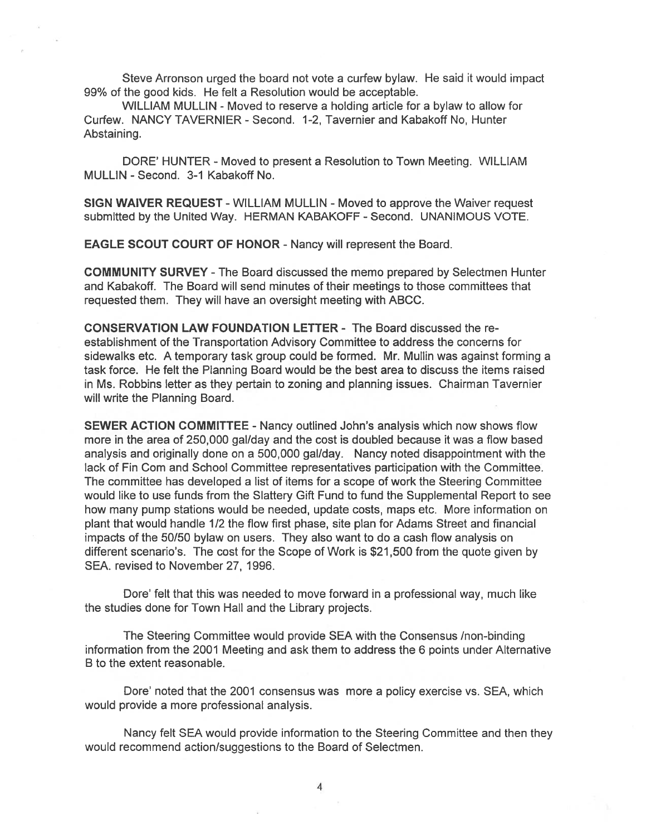Steve Arronson urged the board not vote <sup>a</sup> curfew bylaw. He said it would impact 99% of the good kids. He felt <sup>a</sup> Resolution would be acceptable.

WILLIAM MULLIN - Moved to reserve <sup>a</sup> holding article for <sup>a</sup> bylaw to allow for Curfew. NANCY TAVERNIER - Second. 1-2, Tavernier and Kabakoff No, Hunter Abstaining.

DORE' HUNTER - Moved to present a Resolution to Town Meeting. WILLIAM MULLIN - Second. 3-1 Kabakoff No.

SIGN WAIVER REQUEST - WILLIAM MULLIN - Moved to approve the Waiver request submitted by the United Way. HERMAN KABAKOFF - Second. UNANIMOUS VOTE.

EAGLE SCOUT COURT OF HONOR - Nancy will represent the Board.

COMMUNITY SURVEY -The Board discussed the memo prepared by Selectmen Hunter and Kabakoff. The Board will send minutes of their meetings to those committees that requested them. They will have an oversight meeting with ABCC.

CONSERVATION LAW FOUNDATION LETTER - The Board discussed the re establishment of the Transportation Advisory Committee to address the concerns for sidewalks etc. A temporary task group could be formed. Mr. Mullin was against forming <sup>a</sup> task force. He felt the Planning Board would be the best area to discuss the items raised in Ms. Robbins letter as they pertain to zoning and planning issues. Chairman Tavernier will write the Planning Board.

SEWER ACTION COMMITTEE - Nancy outlined John's analysis which now shows flow more in the area of 250,000 gal/day and the cost is doubled because it was <sup>a</sup> flow based analysis and originally done on <sup>a</sup> 500,000 gal/day. Nancy noted disappointment with the lack of Fin Com and School Committee representatives participation with the Committee. The committee has developed <sup>a</sup> list of items for <sup>a</sup> scope of work the Steering Committee would like to use funds from the Slattery Gift Fund to fund the Supplemental Report to see how many pump stations would be needed, update costs, maps etc. More information on plant that would handle 1/2 the flow first phase, site plan for Adams Street and financial impacts of the 50/50 bylaw on users. They also want to do <sup>a</sup> cash flow analysis on different scenario's. The cost for the Scope of Work is \$21,500 from the quote given by SEA. revised to November 27, 1996.

Dore' felt that this was needed to move forward in <sup>a</sup> professional way, much like the studies done for Town Hall and the Library projects.

The Steering Committee would provide SEA with the Consensus /non-binding information from the 2001 Meeting and ask them to address the 6 points under Alternative B to the extent reasonable.

Dore' noted that the 2001 consensus was more <sup>a</sup> policy exercise vs. SEA, which would provide a more professional analysis.

Nancy felt SEA would provide information to the Steering Committee and then they would recommend action/suggestions to the Board of Selectmen.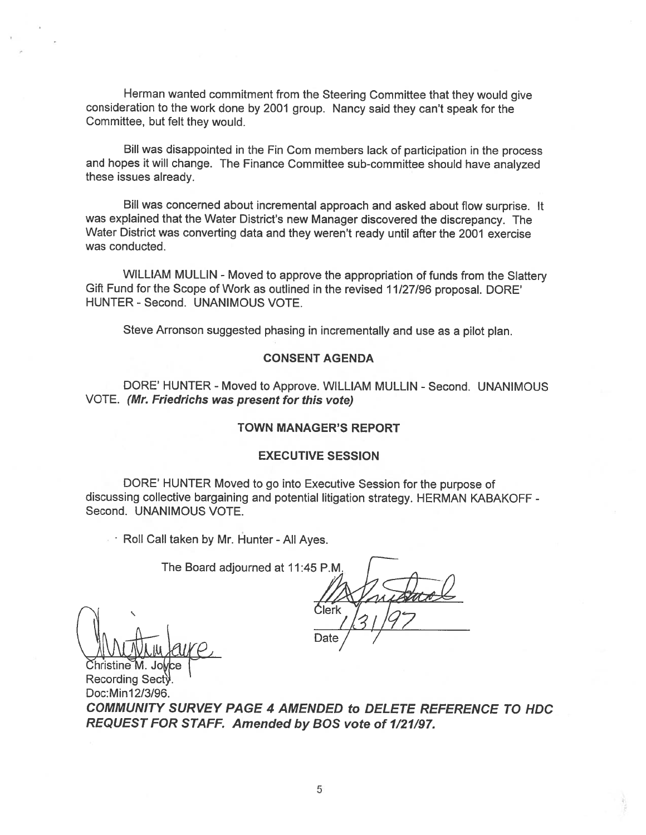Herman wanted commitment from the Steering Committee that they would <sup>g</sup>ive consideration to the work done by <sup>2001</sup> group. Nancy said they can't spea<sup>k</sup> for the Committee, but felt they would.

Bill was disappointed in the Fin Com members lack of participation in the process and hopes it will change. The Finance Committee sub-committee should have analyzed these issues already.

Bill was concerned about incremental approac<sup>h</sup> and asked about flow surprise. It was explained that the Water District's new Manager discovered the discrepancy. The Water District was converting data and they weren't ready until after the 2001 exercise was conducted.

WILLIAM MULLIN - Moved to approve the appropriation of funds from the Slattery Gift Fund for the Scope of Work as outlined in the revised 11/27/96 proposal. DORE' HUNTER - Second. UNANIMOUS VOTE.

Steve Arronson suggested <sup>p</sup>hasing in incrementally and use as <sup>a</sup> <sup>p</sup>ilot <sup>p</sup>lan.

#### CONSENT AGENDA

DORE' HUNTER - Moved to Approve. WILLIAM MULLIN - Second. UNANIMOUS VOTE. (Mr. Friedrichs was presen<sup>t</sup> for this vote)

## TOWN MANAGER'S REPORT

#### EXECUTIVE SESSION

DORE' HUNTER Moved to go into Executive Session for the purpose of discussing collective bargaining and potential litigation strategy. HERMAN KABAKOFF - Second. UNANIMOUS VOTE.

Roll Call taken by Mr. Hunter - All Ayes.

The Board adjourned at 11:45 P.M.

Ćlerk Date

Doc: Min12/3/96. COMMUNITY SURVEY PAGE 4 AMENDED to DELETE REFERENCE TO HDC REQUEST FOR STAFF. Amended by BOS vote of 1/21/97.

Christine M. Recording Sect).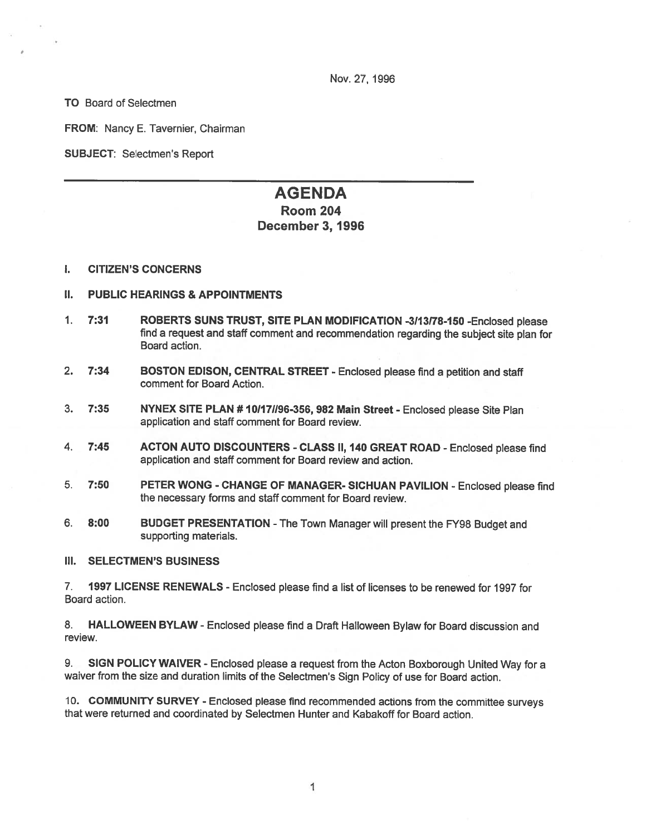Nov. 27, 1996

TO Board of Selectmen

FROM: Nancy E. Tavernier, Chairman

SUBJECT: Selectmen's Report

# AGENDA Room 204 December 3, 1996

#### I. CITIZEN'S CONCERNS

## II. PUBLIC HEARINGS & APPOINTMENTS

- 1. 7:31 ROBERTS SUNS TRUST, SITE PLAN MODIFICATION -3113178-150 -Enclosed <sup>p</sup>lease find <sup>a</sup> reques<sup>t</sup> and staff comment and recommendation regarding the subject site <sup>p</sup>lan for Board action.
- 2. 7:34 BOSTON EDISON, CENTRAL STREET Enclosed please find a petition and staff comment for Board Action.
- 3. 7:35 NYNEX SITE PLAN # 10/17//96-356, 982 Main Street Enclosed please Site Plan application and staff comment for Board review.
- 4. 7:45 ACTON AUTO DISCOUNTERS CLASS II, 140 GREAT ROAD Enclosed please find application and staff comment for Board review and action.
- 5. 7:50 PETER WONG CHANGE OF MANAGER- SICHUAN PAVILION -Enclosed <sup>p</sup>lease find the necessary forms and staff comment for Board review.
- 6. 8:00 BUDGET PRESENTATION -The Town Manager will presen<sup>t</sup> the FY98 Budget and supporting materials.

#### III. SELECTMEN'S BUSINESS

7. 1997 LICENSE RENEWALS -Enclosed please find <sup>a</sup> list of licenses to be renewed for 1997 for Board action.

8. HALLOWEEN BYLAW - Enclosed <sup>p</sup>lease find <sup>a</sup> Draft Halloween Bylaw for Board discussion and review.

9. SIGN POLICY WAIVER - Enclosed please a request from the Acton Boxborough United Way for a waiver from the size and duration limits of the Selectmen's Sign Policy of use for Board action.

10. COMMUNITY SURVEY - Enclosed <sup>p</sup>lease find recommended actions from the committee surveys that were returned and coordinated by Selectmen Hunter and Kabakoff for Board action.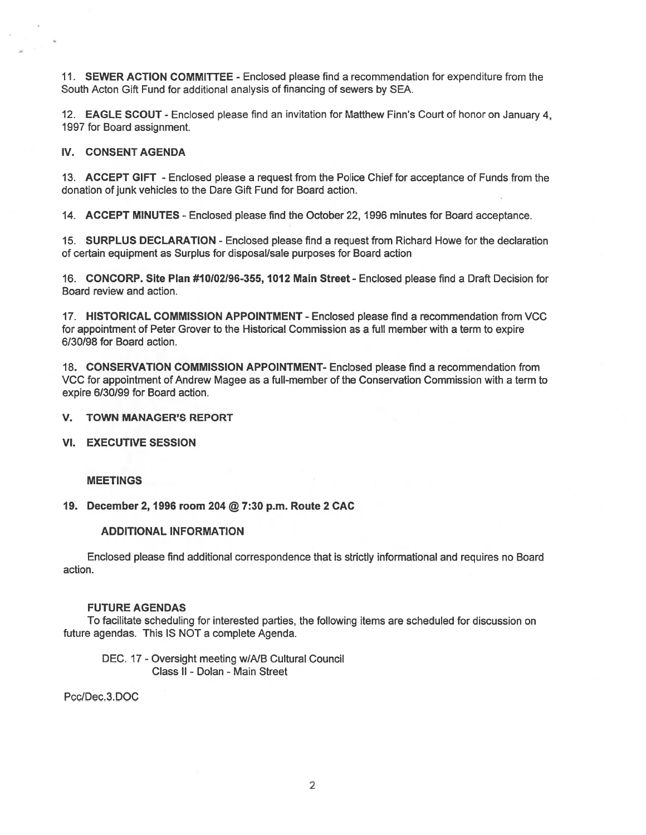11. SEWER ACTION COMMITTEE - Enclosed please find <sup>a</sup> recommendation for expenditure from the South Acton Gift Fund for additional analysis of financing of sewers by SEA.

12. **EAGLE SCOUT** - Enclosed please find an invitation for Matthew Finn's Court of honor on January 4, 1997 for Board assignment.

#### IV. CONSENT AGENDA

13. ACCEPT GIFT - Enclosed please <sup>a</sup> reques<sup>t</sup> from the Police Chief for acceptance of Funds from the donation of junk vehicles to the Dare Gift Fund for Board action.

14. ACCEPT MINUTES - Enclosed please find the October 22, 1996 minutes for Board acceptance.

15. SURPLUS DECLARATION -Enclosed please find <sup>a</sup> reques<sup>t</sup> from Richard Howe for the declaration of certain equipment as Surplus for disposal/sale purposes for Board action

16. CONCORP. Site Plan #10102196-355, 1012 Main Street - Enclosed please find <sup>a</sup> Draft Decision for Board review and action.

17. HISTORICAL COMMISSION APPOINTMENT -Enclosed please find <sup>a</sup> recommendation from VCC for appointment of Peter Grover to the Historical Commission as <sup>a</sup> full member with <sup>a</sup> term to expire 6/30/98 for Board action.

18. CONSERVATION COMMISSION APPOINTMENT- Enclosed please find <sup>a</sup> recommendation from VCC for appointment of Andrew Magee as <sup>a</sup> full-member of the Conservation Commission with <sup>a</sup> term to expire 6/30/99 for Board action.

V. TOWN MANAGER'S REPORT

VI. EXECUTIVE SESSION

#### MEETINGS

#### 19. December 2, 1996 room 204 @ 7:30 p.m. Route 2 CAC

#### ADDITIONAL INFORMATION

Enclosed please find additional correspondence that is strictly informational and requires no Board action.

#### FUTURE AGENDAS

To facilitate scheduling for interested parties, the following items are scheduled for discussion on future agendas. This IS NOT <sup>a</sup> complete Agenda.

DEC. 17 - Oversight meeting w/A/B Cultural Council Class II - Dolan - Main Street

PcclDec.3.DOC